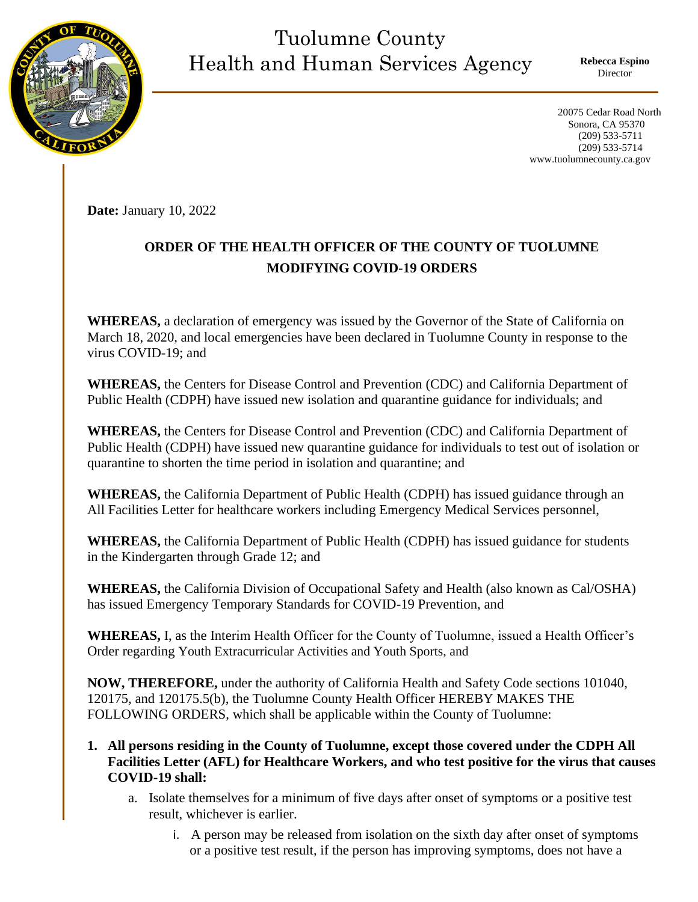## Tuolumne County Health and Human Services Agency

**Rebecca Espino** Director

 20075 Cedar Road North Sonora, CA 95370 (209) 533-5711 (209) 533-5714 www.tuolumnecounty.ca.gov

**Date:** January 10, 2022

## **ORDER OF THE HEALTH OFFICER OF THE COUNTY OF TUOLUMNE MODIFYING COVID-19 ORDERS**

**WHEREAS,** a declaration of emergency was issued by the Governor of the State of California on March 18, 2020, and local emergencies have been declared in Tuolumne County in response to the virus COVID-19; and

**WHEREAS,** the Centers for Disease Control and Prevention (CDC) and California Department of Public Health (CDPH) have issued new isolation and quarantine guidance for individuals; and

**WHEREAS,** the Centers for Disease Control and Prevention (CDC) and California Department of Public Health (CDPH) have issued new quarantine guidance for individuals to test out of isolation or quarantine to shorten the time period in isolation and quarantine; and

**WHEREAS,** the California Department of Public Health (CDPH) has issued guidance through an All Facilities Letter for healthcare workers including Emergency Medical Services personnel,

**WHEREAS,** the California Department of Public Health (CDPH) has issued guidance for students in the Kindergarten through Grade 12; and

**WHEREAS,** the California Division of Occupational Safety and Health (also known as Cal/OSHA) has issued Emergency Temporary Standards for COVID-19 Prevention, and

**WHEREAS,** I, as the Interim Health Officer for the County of Tuolumne, issued a Health Officer's Order regarding Youth Extracurricular Activities and Youth Sports, and

**NOW, THEREFORE,** under the authority of California Health and Safety Code sections 101040, 120175, and 120175.5(b), the Tuolumne County Health Officer HEREBY MAKES THE FOLLOWING ORDERS, which shall be applicable within the County of Tuolumne:

- **1. All persons residing in the County of Tuolumne, except those covered under the CDPH All Facilities Letter (AFL) for Healthcare Workers, and who test positive for the virus that causes COVID-19 shall:**
	- a. Isolate themselves for a minimum of five days after onset of symptoms or a positive test result, whichever is earlier.
		- i. A person may be released from isolation on the sixth day after onset of symptoms or a positive test result, if the person has improving symptoms, does not have a

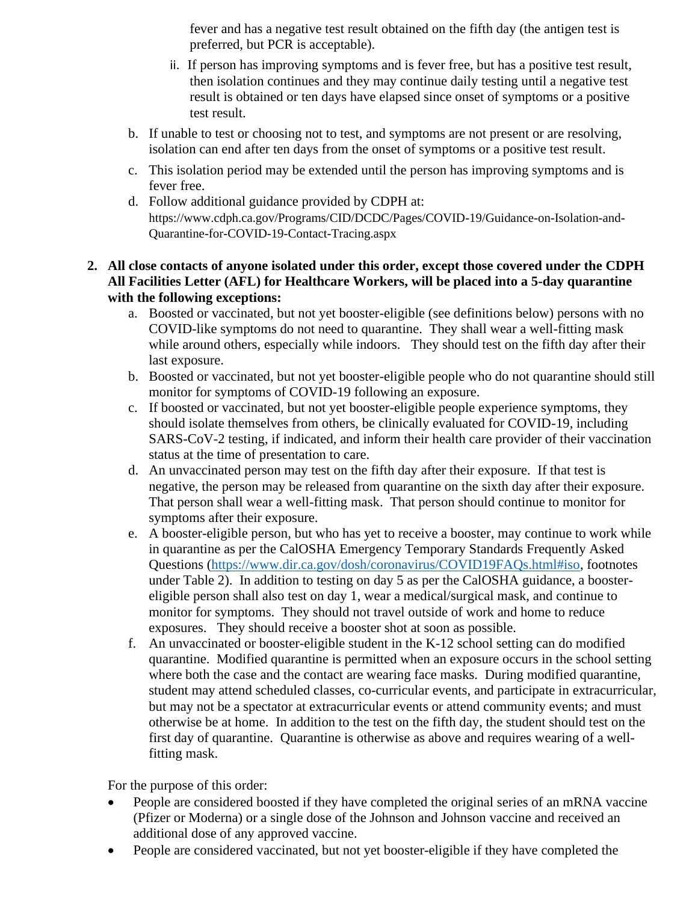fever and has a negative test result obtained on the fifth day (the antigen test is preferred, but PCR is acceptable).

- ii. If person has improving symptoms and is fever free, but has a positive test result, then isolation continues and they may continue daily testing until a negative test result is obtained or ten days have elapsed since onset of symptoms or a positive test result.
- b. If unable to test or choosing not to test, and symptoms are not present or are resolving, isolation can end after ten days from the onset of symptoms or a positive test result.
- c. This isolation period may be extended until the person has improving symptoms and is fever free.
- d. Follow additional guidance provided by CDPH at: https://www.cdph.ca.gov/Programs/CID/DCDC/Pages/COVID-19/Guidance-on-Isolation-and-Quarantine-for-COVID-19-Contact-Tracing.aspx

## **2. All close contacts of anyone isolated under this order, except those covered under the CDPH All Facilities Letter (AFL) for Healthcare Workers, will be placed into a 5-day quarantine with the following exceptions:**

- a. Boosted or vaccinated, but not yet booster-eligible (see definitions below) persons with no COVID-like symptoms do not need to quarantine. They shall wear a well-fitting mask while around others, especially while indoors. They should test on the fifth day after their last exposure.
- b. Boosted or vaccinated, but not yet booster-eligible people who do not quarantine should still monitor for symptoms of COVID-19 following an exposure.
- c. If boosted or vaccinated, but not yet booster-eligible people experience symptoms, they should isolate themselves from others, be clinically evaluated for COVID-19, including SARS-CoV-2 testing, if indicated, and inform their health care provider of their vaccination status at the time of presentation to care.
- d. An unvaccinated person may test on the fifth day after their exposure. If that test is negative, the person may be released from quarantine on the sixth day after their exposure. That person shall wear a well-fitting mask. That person should continue to monitor for symptoms after their exposure.
- e. A booster-eligible person, but who has yet to receive a booster, may continue to work while in quarantine as per the CalOSHA Emergency Temporary Standards Frequently Asked Questions [\(https://www.dir.ca.gov/dosh/coronavirus/COVID19FAQs.html#iso,](https://www.dir.ca.gov/dosh/coronavirus/COVID19FAQs.html#iso) footnotes under Table 2). In addition to testing on day 5 as per the CalOSHA guidance, a boostereligible person shall also test on day 1, wear a medical/surgical mask, and continue to monitor for symptoms. They should not travel outside of work and home to reduce exposures. They should receive a booster shot at soon as possible.
- f. An unvaccinated or booster-eligible student in the K-12 school setting can do modified quarantine. Modified quarantine is permitted when an exposure occurs in the school setting where both the case and the contact are wearing face masks. During modified quarantine, student may attend scheduled classes, co-curricular events, and participate in extracurricular, but may not be a spectator at extracurricular events or attend community events; and must otherwise be at home. In addition to the test on the fifth day, the student should test on the first day of quarantine. Quarantine is otherwise as above and requires wearing of a wellfitting mask.

For the purpose of this order:

- People are considered boosted if they have completed the original series of an mRNA vaccine (Pfizer or Moderna) or a single dose of the Johnson and Johnson vaccine and received an additional dose of any approved vaccine.
- People are considered vaccinated, but not yet booster-eligible if they have completed the